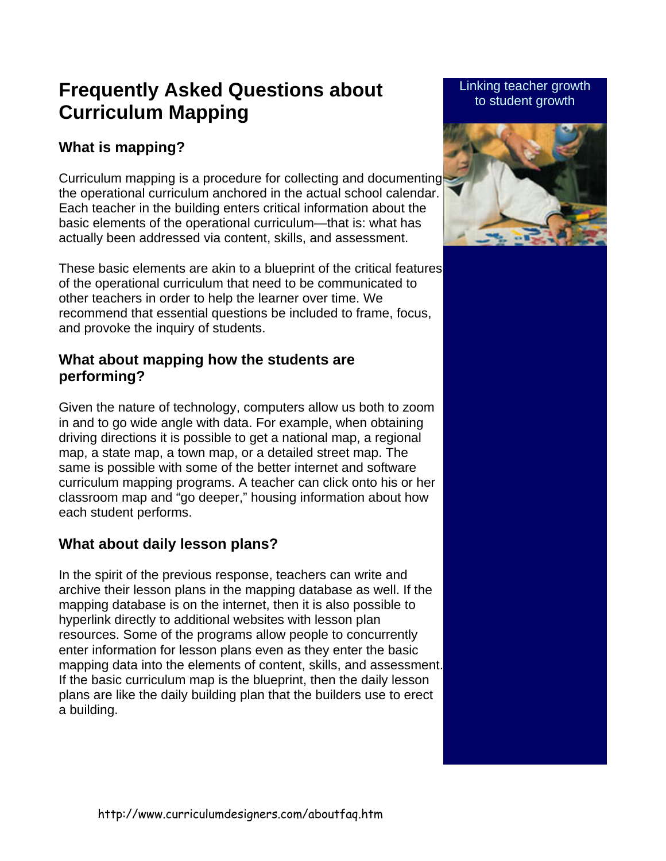# **Frequently Asked Questions about Curriculum Mapping**

# **What is mapping?**

Curriculum mapping is a procedure for collecting and documenting the operational curriculum anchored in the actual school calendar. Each teacher in the building enters critical information about the basic elements of the operational curriculum—that is: what has actually been addressed via content, skills, and assessment.

These basic elements are akin to a blueprint of the critical features of the operational curriculum that need to be communicated to other teachers in order to help the learner over time. We recommend that essential questions be included to frame, focus, and provoke the inquiry of students.

## **What about mapping how the students are performing?**

Given the nature of technology, computers allow us both to zoom in and to go wide angle with data. For example, when obtaining driving directions it is possible to get a national map, a regional map, a state map, a town map, or a detailed street map. The same is possible with some of the better internet and software curriculum mapping programs. A teacher can click onto his or her classroom map and "go deeper," housing information about how each student performs.

# **What about daily lesson plans?**

In the spirit of the previous response, teachers can write and archive their lesson plans in the mapping database as well. If the mapping database is on the internet, then it is also possible to hyperlink directly to additional websites with lesson plan resources. Some of the programs allow people to concurrently enter information for lesson plans even as they enter the basic mapping data into the elements of content, skills, and assessment. If the basic curriculum map is the blueprint, then the daily lesson plans are like the daily building plan that the builders use to erect a building.

#### Linking teacher growth to student growth

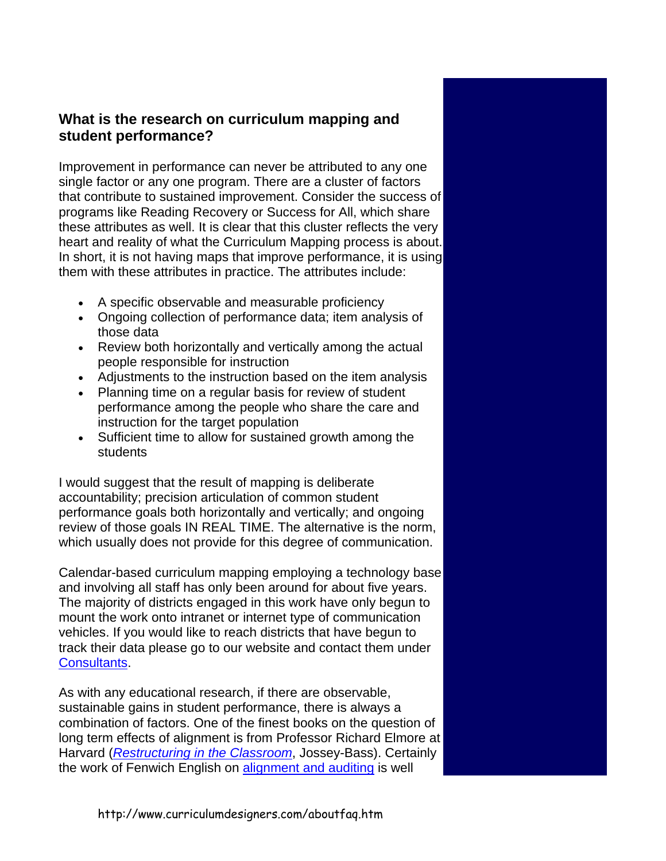## **What is the research on curriculum mapping and student performance?**

Improvement in performance can never be attributed to any one single factor or any one program. There are a cluster of factors that contribute to sustained improvement. Consider the success of programs like Reading Recovery or Success for All, which share these attributes as well. It is clear that this cluster reflects the very heart and reality of what the Curriculum Mapping process is about. In short, it is not having maps that improve performance, it is using them with these attributes in practice. The attributes include:

- A specific observable and measurable proficiency
- Ongoing collection of performance data; item analysis of those data
- Review both horizontally and vertically among the actual people responsible for instruction
- Adjustments to the instruction based on the item analysis
- Planning time on a regular basis for review of student performance among the people who share the care and instruction for the target population
- Sufficient time to allow for sustained growth among the students

I would suggest that the result of mapping is deliberate accountability; precision articulation of common student performance goals both horizontally and vertically; and ongoing review of those goals IN REAL TIME. The alternative is the norm, which usually does not provide for this degree of communication.

Calendar-based curriculum mapping employing a technology base and involving all staff has only been around for about five years. The majority of districts engaged in this work have only begun to mount the work onto intranet or internet type of communication vehicles. If you would like to reach districts that have begun to track their data please go to our website and contact them under [Consultants](http://www.curriculumdesigners.com/aboutconsultants.htm).

As with any educational research, if there are observable, sustainable gains in student performance, there is always a combination of factors. One of the finest books on the question of long term effects of alignment is from Professor Richard Elmore at Harvard (*[Restructuring in the Classroom](http://www.amazon.com/exec/obidos/tg/detail/-/078790239X/qid=1105491126/sr=8-1/ref=sr_8_xs_ap_i1_xgl14/104-0243908-4071122?v=glance&s=books&n=507846)*, Jossey-Bass). Certainly the work of Fenwich English on [alignment and auditing](http://www.amazon.com/exec/obidos/ASIN/0803968329/qid=1105491607/sr=2-2/ref=pd_ka_b_2_2/104-0243908-4071122) is well